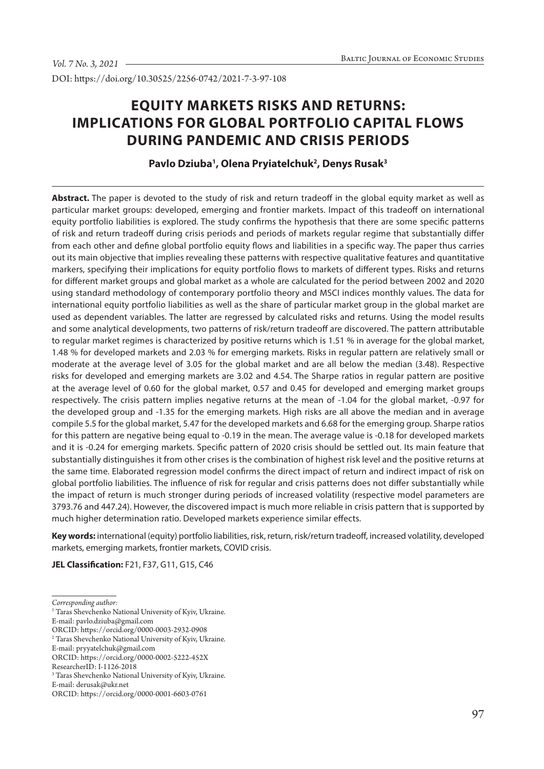DOI: https://doi.org/10.30525/2256-0742/2021-7-3-97-108

# **EQUITY MARKETS RISKS AND RETURNS: IMPLICATIONS FOR GLOBAL PORTFOLIO CAPITAL FLOWS DURING PANDEMIC AND CRISIS PERIODS**

# Pavlo Dziuba<sup>1</sup>, Olena Pryiatelchuk<sup>2</sup>, Denys Rusak<sup>3</sup>

**Abstract.** The paper is devoted to the study of risk and return tradeoff in the global equity market as well as particular market groups: developed, emerging and frontier markets. Impact of this tradeoff on international equity portfolio liabilities is explored. The study confirms the hypothesis that there are some specific patterns of risk and return tradeoff during crisis periods and periods of markets regular regime that substantially differ from each other and define global portfolio equity flows and liabilities in a specific way. The paper thus carries out its main objective that implies revealing these patterns with respective qualitative features and quantitative markers, specifying their implications for equity portfolio flows to markets of different types. Risks and returns for different market groups and global market as a whole are calculated for the period between 2002 and 2020 using standard methodology of contemporary portfolio theory and MSCI indices monthly values. The data for international equity portfolio liabilities as well as the share of particular market group in the global market are used as dependent variables. The latter are regressed by calculated risks and returns. Using the model results and some analytical developments, two patterns of risk/return tradeoff are discovered. The pattern attributable to regular market regimes is characterized by positive returns which is 1.51 % in average for the global market, 1.48 % for developed markets and 2.03 % for emerging markets. Risks in regular pattern are relatively small or moderate at the average level of 3.05 for the global market and are all below the median (3.48). Respective risks for developed and emerging markets are 3.02 and 4.54. The Sharpe ratios in regular pattern are positive at the average level of 0.60 for the global market, 0.57 and 0.45 for developed and emerging market groups respectively. The crisis pattern implies negative returns at the mean of -1.04 for the global market, -0.97 for the developed group and -1.35 for the emerging markets. High risks are all above the median and in average compile 5.5 for the global market, 5.47 for the developed markets and 6.68 for the emerging group. Sharpe ratios for this pattern are negative being equal to -0.19 in the mean. The average value is -0.18 for developed markets and it is -0.24 for emerging markets. Specific pattern of 2020 crisis should be settled out. Its main feature that substantially distinguishes it from other crises is the combination of highest risk level and the positive returns at the same time. Elaborated regression model confirms the direct impact of return and indirect impact of risk on global portfolio liabilities. The influence of risk for regular and crisis patterns does not differ substantially while the impact of return is much stronger during periods of increased volatility (respective model parameters are 3793.76 and 447.24). However, the discovered impact is much more reliable in crisis pattern that is supported by much higher determination ratio. Developed markets experience similar effects.

**Key words:** international (equity) portfolio liabilities, risk, return, risk/return tradeoff, increased volatility, developed markets, emerging markets, frontier markets, COVID crisis.

**JEL Classification:** F21, F37, G11, G15, C46

E-mail: pavlo.dziuba@gmail.com

*Corresponding author:*

<sup>&</sup>lt;sup>1</sup> Taras Shevchenko National University of Kyiv, Ukraine.

ORCID: https://orcid.org/0000-0003-2932-0908

<sup>2</sup> Taras Shevchenko National University of Kyiv, Ukraine.

E-mail: pryyatelchuk@gmail.com

ORCID: https://orcid.org/0000-0002-5222-452X

ResearcherID: I-1126-2018

<sup>3</sup> Taras Shevchenko National University of Kyiv, Ukraine.

E-mail: derusak@ukr.net

ORCID: https://orcid.org/0000-0001-6603-0761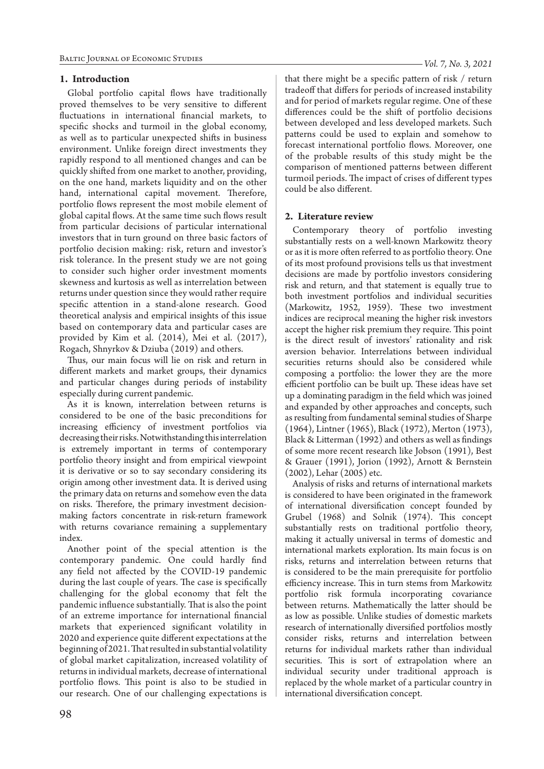## **1. Introduction**

Global portfolio capital flows have traditionally proved themselves to be very sensitive to different fluctuations in international financial markets, to specific shocks and turmoil in the global economy, as well as to particular unexpected shifts in business environment. Unlike foreign direct investments they rapidly respond to all mentioned changes and can be quickly shifted from one market to another, providing, on the one hand, markets liquidity and on the other hand, international capital movement. Therefore, portfolio flows represent the most mobile element of global capital flows. At the same time such flows result from particular decisions of particular international investors that in turn ground on three basic factors of portfolio decision making: risk, return and investor's risk tolerance. In the present study we are not going to consider such higher order investment moments skewness and kurtosis as well as interrelation between returns under question since they would rather require specific attention in a stand-alone research. Good theoretical analysis and empirical insights of this issue based on contemporary data and particular cases are provided by Kim et al. (2014), Mei et al. (2017), Rogach, Shnyrkov & Dziuba (2019) and others.

Thus, our main focus will lie on risk and return in different markets and market groups, their dynamics and particular changes during periods of instability especially during current pandemic.

As it is known, interrelation between returns is considered to be one of the basic preconditions for increasing efficiency of investment portfolios via decreasing their risks. Notwithstanding this interrelation is extremely important in terms of contemporary portfolio theory insight and from empirical viewpoint it is derivative or so to say secondary considering its origin among other investment data. It is derived using the primary data on returns and somehow even the data on risks. Therefore, the primary investment decisionmaking factors concentrate in risk-return framework with returns covariance remaining a supplementary index.

Another point of the special attention is the contemporary pandemic. One could hardly find any field not affected by the COVID-19 pandemic during the last couple of years. The case is specifically challenging for the global economy that felt the pandemic influence substantially. That is also the point of an extreme importance for international financial markets that experienced significant volatility in 2020 and experience quite different expectations at the beginning of 2021. That resulted in substantial volatility of global market capitalization, increased volatility of returns in individual markets, decrease of international portfolio flows. This point is also to be studied in our research. One of our challenging expectations is that there might be a specific pattern of risk / return tradeoff that differs for periods of increased instability and for period of markets regular regime. One of these differences could be the shift of portfolio decisions between developed and less developed markets. Such patterns could be used to explain and somehow to forecast international portfolio flows. Moreover, one of the probable results of this study might be the comparison of mentioned patterns between different turmoil periods. The impact of crises of different types could be also different.

#### **2. Literature review**

Contemporary theory of portfolio investing substantially rests on a well-known Markowitz theory or as it is more often referred to as portfolio theory. One of its most profound provisions tells us that investment decisions are made by portfolio investors considering risk and return, and that statement is equally true to both investment portfolios and individual securities (Markowitz, 1952, 1959). These two investment indices are reciprocal meaning the higher risk investors accept the higher risk premium they require. This point is the direct result of investors' rationality and risk aversion behavior. Interrelations between individual securities returns should also be considered while composing a portfolio: the lower they are the more efficient portfolio can be built up. These ideas have set up a dominating paradigm in the field which was joined and expanded by other approaches and concepts, such as resulting from fundamental seminal studies of Sharpe (1964), Lintner (1965), Black (1972), Merton (1973), Black & Litterman (1992) and others as well as findings of some more recent research like Jobson (1991), Best & Grauer (1991), Jorion (1992), Arnott & Bernstein (2002), Lehar (2005) etc.

Analysis of risks and returns of international markets is considered to have been originated in the framework of international diversification concept founded by Grubel (1968) and Solnik (1974). This concept substantially rests on traditional portfolio theory, making it actually universal in terms of domestic and international markets exploration. Its main focus is on risks, returns and interrelation between returns that is considered to be the main prerequisite for portfolio efficiency increase. This in turn stems from Markowitz portfolio risk formula incorporating covariance between returns. Mathematically the latter should be as low as possible. Unlike studies of domestic markets research of internationally diversified portfolios mostly consider risks, returns and interrelation between returns for individual markets rather than individual securities. This is sort of extrapolation where an individual security under traditional approach is replaced by the whole market of a particular country in international diversification concept.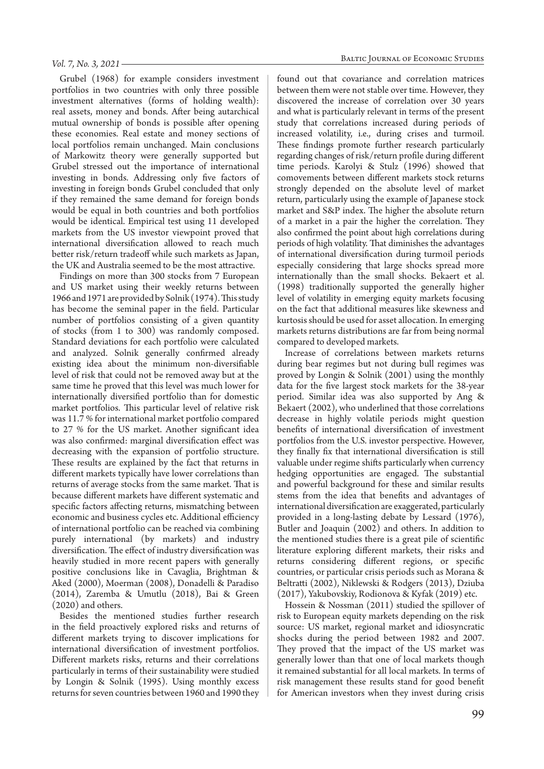#### *Vol. 7, No. 3, 2021*

Grubel (1968) for example considers investment portfolios in two countries with only three possible investment alternatives (forms of holding wealth): real assets, money and bonds. After being autarchical mutual ownership of bonds is possible after opening these economies. Real estate and money sections of local portfolios remain unchanged. Main conclusions of Markowitz theory were generally supported but Grubel stressed out the importance of international investing in bonds. Addressing only five factors of investing in foreign bonds Grubel concluded that only if they remained the same demand for foreign bonds would be equal in both countries and both portfolios would be identical. Empirical test using 11 developed markets from the US investor viewpoint proved that international diversification allowed to reach much better risk/return tradeoff while such markets as Japan, the UK and Australia seemed to be the most attractive.

Findings on more than 300 stocks from 7 European and US market using their weekly returns between 1966 and 1971 are provided by Solnik (1974). This study has become the seminal paper in the field. Particular number of portfolios consisting of a given quantity of stocks (from 1 to 300) was randomly composed. Standard deviations for each portfolio were calculated and analyzed. Solnik generally confirmed already existing idea about the minimum non-diversifiable level of risk that could not be removed away but at the same time he proved that this level was much lower for internationally diversified portfolio than for domestic market portfolios. This particular level of relative risk was 11.7 % for international market portfolio compared to 27 % for the US market. Another significant idea was also confirmed: marginal diversification effect was decreasing with the expansion of portfolio structure. These results are explained by the fact that returns in different markets typically have lower correlations than returns of average stocks from the same market. That is because different markets have different systematic and specific factors affecting returns, mismatching between economic and business cycles etc. Additional efficiency of international portfolio can be reached via combining purely international (by markets) and industry diversification. The effect of industry diversification was heavily studied in more recent papers with generally positive conclusions like in Cavaglia, Brightman & Aked (2000), Moerman (2008), Donadelli & Paradiso (2014), Zaremba & Umutlu (2018), Bai & Green (2020) and others.

Besides the mentioned studies further research in the field proactively explored risks and returns of different markets trying to discover implications for international diversification of investment portfolios. Different markets risks, returns and their correlations particularly in terms of their sustainability were studied by Longin & Solnik (1995). Using monthly excess returns for seven countries between 1960 and 1990 they

found out that covariance and correlation matrices between them were not stable over time. However, they discovered the increase of correlation over 30 years and what is particularly relevant in terms of the present study that correlations increased during periods of increased volatility, i.e., during crises and turmoil. These findings promote further research particularly regarding changes of risk/return profile during different time periods. Karolyi & Stulz (1996) showed that comovements between different markets stock returns strongly depended on the absolute level of market return, particularly using the example of Japanese stock market and S&P index. The higher the absolute return of a market in a pair the higher the correlation. They also confirmed the point about high correlations during periods of high volatility. That diminishes the advantages of international diversification during turmoil periods especially considering that large shocks spread more internationally than the small shocks. Bekaert et al. (1998) traditionally supported the generally higher level of volatility in emerging equity markets focusing on the fact that additional measures like skewness and kurtosis should be used for asset allocation. In emerging markets returns distributions are far from being normal compared to developed markets.

Increase of correlations between markets returns during bear regimes but not during bull regimes was proved by Longin & Solnik (2001) using the monthly data for the five largest stock markets for the 38-year period. Similar idea was also supported by Ang & Bekaert (2002), who underlined that those correlations decrease in highly volatile periods might question benefits of international diversification of investment portfolios from the U.S. investor perspective. However, they finally fix that international diversification is still valuable under regime shifts particularly when currency hedging opportunities are engaged. The substantial and powerful background for these and similar results stems from the idea that benefits and advantages of international diversification are exaggerated, particularly provided in a long-lasting debate by Lessard (1976), Butler and Joaquin (2002) and others. In addition to the mentioned studies there is a great pile of scientific literature exploring different markets, their risks and returns considering different regions, or specific countries, or particular crisis periods such as Morana & Beltratti (2002), Niklewski & Rodgers (2013), Dziuba (2017), Yakubovskiy, Rodionova & Kyfak (2019) etc.

Hossein & Nossman (2011) studied the spillover of risk to European equity markets depending on the risk source: US market, regional market and idiosyncratic shocks during the period between 1982 and 2007. They proved that the impact of the US market was generally lower than that one of local markets though it remained substantial for all local markets. In terms of risk management these results stand for good benefit for American investors when they invest during crisis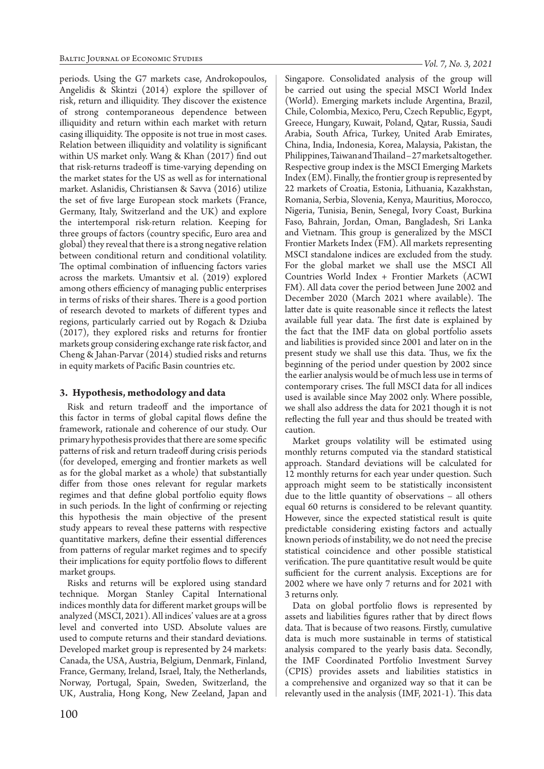periods. Using the G7 markets case, Androkopoulos, Angelidis & Skintzi (2014) explore the spillover of risk, return and illiquidity. They discover the existence of strong contemporaneous dependence between illiquidity and return within each market with return casing illiquidity. The opposite is not true in most cases. Relation between illiquidity and volatility is significant within US market only. Wang & Khan (2017) find out that risk-returns tradeoff is time-varying depending on the market states for the US as well as for international market. Aslanidis, Christiansen & Savva (2016) utilize the set of five large European stock markets (France, Germany, Italy, Switzerland and the UK) and explore the intertemporal risk-return relation. Keeping for three groups of factors (country specific, Euro area and global) they reveal that there is a strong negative relation between conditional return and conditional volatility. The optimal combination of influencing factors varies across the markets. Umantsiv et al. (2019) explored among others efficiency of managing public enterprises in terms of risks of their shares. There is a good portion of research devoted to markets of different types and regions, particularly carried out by Rogach & Dziuba (2017), they explored risks and returns for frontier markets group considering exchange rate risk factor, and Cheng & Jahan-Parvar (2014) studied risks and returns in equity markets of Pacific Basin countries etc.

## **3. Hypothesis, methodology and data**

Risk and return tradeoff and the importance of this factor in terms of global capital flows define the framework, rationale and coherence of our study. Our primary hypothesis provides that there are some specific patterns of risk and return tradeoff during crisis periods (for developed, emerging and frontier markets as well as for the global market as a whole) that substantially differ from those ones relevant for regular markets regimes and that define global portfolio equity flows in such periods. In the light of confirming or rejecting this hypothesis the main objective of the present study appears to reveal these patterns with respective quantitative markers, define their essential differences from patterns of regular market regimes and to specify their implications for equity portfolio flows to different market groups.

Risks and returns will be explored using standard technique. Morgan Stanley Capital International indices monthly data for different market groups will be analyzed (MSCI, 2021). All indices' values are at a gross level and converted into USD. Absolute values are used to compute returns and their standard deviations. Developed market group is represented by 24 markets: Canada, the USA, Austria, Belgium, Denmark, Finland, France, Germany, Ireland, Israel, Italy, the Netherlands, Norway, Portugal, Spain, Sweden, Switzerland, the UK, Australia, Hong Kong, New Zeeland, Japan and *Vol. 7, No. 3, 2021*

Singapore. Consolidated analysis of the group will be carried out using the special MSCI World Index (World). Emerging markets include Argentina, Brazil, Chile, Colombia, Mexico, Peru, Czech Republic, Egypt, Greece, Hungary, Kuwait, Poland, Qatar, Russia, Saudi Arabia, South Africa, Turkey, United Arab Emirates, China, India, Indonesia, Korea, Malaysia, Pakistan, the Philippines, Taiwan and Thailand – 27 markets altogether. Respective group index is the MSCI Emerging Markets Index (EM). Finally, the frontier group is represented by 22 markets of Croatia, Estonia, Lithuania, Kazakhstan, Romania, Serbia, Slovenia, Kenya, Mauritius, Morocco, Nigeria, Tunisia, Benin, Senegal, Ivory Coast, Burkina Faso, Bahrain, Jordan, Oman, Bangladesh, Sri Lanka and Vietnam. This group is generalized by the MSCI Frontier Markets Index (FM). All markets representing MSCI standalone indices are excluded from the study. For the global market we shall use the MSCI All Countries World Index + Frontier Markets (ACWI FM). All data cover the period between June 2002 and December 2020 (March 2021 where available). The latter date is quite reasonable since it reflects the latest available full year data. The first date is explained by the fact that the IMF data on global portfolio assets and liabilities is provided since 2001 and later on in the present study we shall use this data. Thus, we fix the beginning of the period under question by 2002 since the earlier analysis would be of much less use in terms of contemporary crises. The full MSCI data for all indices used is available since May 2002 only. Where possible, we shall also address the data for 2021 though it is not reflecting the full year and thus should be treated with caution.

Market groups volatility will be estimated using monthly returns computed via the standard statistical approach. Standard deviations will be calculated for 12 monthly returns for each year under question. Such approach might seem to be statistically inconsistent due to the little quantity of observations – all others equal 60 returns is considered to be relevant quantity. However, since the expected statistical result is quite predictable considering existing factors and actually known periods of instability, we do not need the precise statistical coincidence and other possible statistical verification. The pure quantitative result would be quite sufficient for the current analysis. Exceptions are for 2002 where we have only 7 returns and for 2021 with 3 returns only.

Data on global portfolio flows is represented by assets and liabilities figures rather that by direct flows data. That is because of two reasons. Firstly, cumulative data is much more sustainable in terms of statistical analysis compared to the yearly basis data. Secondly, the IMF Coordinated Portfolio Investment Survey (CPIS) provides assets and liabilities statistics in a comprehensive and organized way so that it can be relevantly used in the analysis (IMF, 2021-1). This data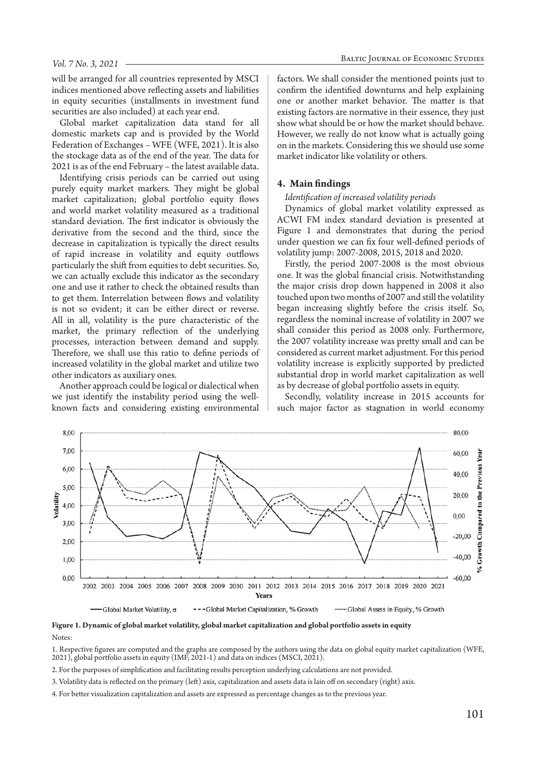will be arranged for all countries represented by MSCI indices mentioned above reflecting assets and liabilities in equity securities (installments in investment fund securities are also included) at each year end.

Global market capitalization data stand for all domestic markets cap and is provided by the World Federation of Exchanges – WFE (WFE, 2021). It is also the stockage data as of the end of the year. The data for 2021 is as of the end February – the latest available data.

Identifying crisis periods can be carried out using purely equity market markers. They might be global market capitalization; global portfolio equity flows and world market volatility measured as a traditional standard deviation. The first indicator is obviously the derivative from the second and the third, since the decrease in capitalization is typically the direct results of rapid increase in volatility and equity outflows particularly the shift from equities to debt securities. So, we can actually exclude this indicator as the secondary one and use it rather to check the obtained results than to get them. Interrelation between flows and volatility is not so evident; it can be either direct or reverse. All in all, volatility is the pure characteristic of the market, the primary reflection of the underlying processes, interaction between demand and supply. Therefore, we shall use this ratio to define periods of increased volatility in the global market and utilize two other indicators as auxiliary ones.

Another approach could be logical or dialectical when we just identify the instability period using the wellknown facts and considering existing environmental

factors. We shall consider the mentioned points just to confirm the identified downturns and help explaining one or another market behavior. The matter is that existing factors are normative in their essence, they just show what should be or how the market should behave. However, we really do not know what is actually going on in the markets. Considering this we should use some market indicator like volatility or others.

#### **4. Main findings**

*Identification of increased volatility periods*

Dynamics of global market volatility expressed as ACWI FM index standard deviation is presented at Figure 1 and demonstrates that during the period under question we can fix four well-defined periods of volatility jump: 2007-2008, 2015, 2018 and 2020.

Firstly, the period 2007-2008 is the most obvious one. It was the global financial crisis. Notwithstanding the major crisis drop down happened in 2008 it also touched upon two months of 2007 and still the volatility began increasing slightly before the crisis itself. So, regardless the nominal increase of volatility in 2007 we shall consider this period as 2008 only. Furthermore, the 2007 volatility increase was pretty small and can be considered as current market adjustment. For this period volatility increase is explicitly supported by predicted substantial drop in world market capitalization as well as by decrease of global portfolio assets in equity.

Secondly, volatility increase in 2015 accounts for such major factor as stagnation in world economy



**Figure 1. Dynamic of global market volatility, global market capitalization and global portfolio assets in equity**

#### Notes:

1. Respective figures are computed and the graphs are composed by the authors using the data on global equity market capitalization (WFE, 2021), global portfolio assets in equity (IMF, 2021-1) and data on indices (MSCI, 2021).

- 2. For the purposes of simplification and facilitating results perception underlying calculations are not provided.
- 3. Volatility data is reflected on the primary (left) axis, capitalization and assets data is lain off on secondary (right) axis.
- 4. For better visualization capitalization and assets are expressed as percentage changes as to the previous year.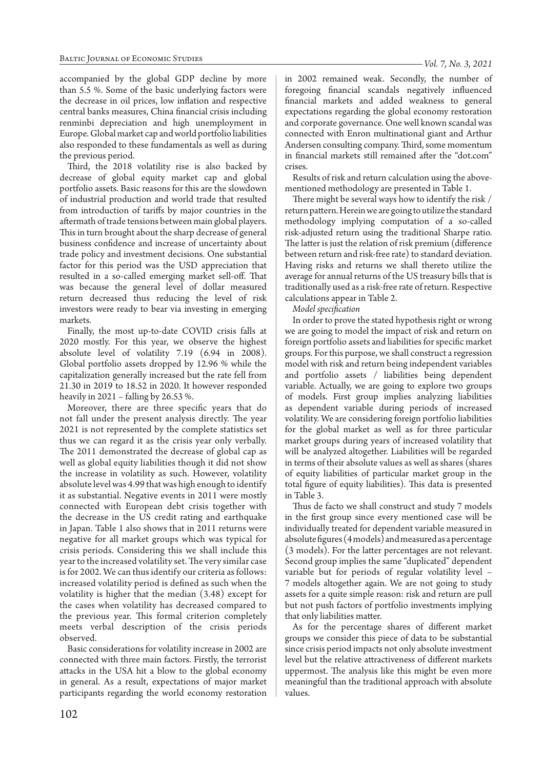accompanied by the global GDP decline by more than 5.5 %. Some of the basic underlying factors were the decrease in oil prices, low inflation and respective central banks measures, China financial crisis including renminbi depreciation and high unemployment in Europe. Global market cap and world portfolio liabilities also responded to these fundamentals as well as during the previous period.

Third, the 2018 volatility rise is also backed by decrease of global equity market cap and global portfolio assets. Basic reasons for this are the slowdown of industrial production and world trade that resulted from introduction of tariffs by major countries in the aftermath of trade tensions between main global players. This in turn brought about the sharp decrease of general business confidence and increase of uncertainty about trade policy and investment decisions. One substantial factor for this period was the USD appreciation that resulted in a so-called emerging market sell-off. That was because the general level of dollar measured return decreased thus reducing the level of risk investors were ready to bear via investing in emerging markets.

Finally, the most up-to-date COVID crisis falls at 2020 mostly. For this year, we observe the highest absolute level of volatility 7.19 (6.94 in 2008). Global portfolio assets dropped by 12.96 % while the capitalization generally increased but the rate fell from 21.30 in 2019 to 18.52 in 2020. It however responded heavily in 2021 – falling by 26.53 %.

Moreover, there are three specific years that do not fall under the present analysis directly. The year 2021 is not represented by the complete statistics set thus we can regard it as the crisis year only verbally. The 2011 demonstrated the decrease of global cap as well as global equity liabilities though it did not show the increase in volatility as such. However, volatility absolute level was 4.99 that was high enough to identify it as substantial. Negative events in 2011 were mostly connected with European debt crisis together with the decrease in the US credit rating and earthquake in Japan. Table 1 also shows that in 2011 returns were negative for all market groups which was typical for crisis periods. Considering this we shall include this year to the increased volatility set. The very similar case is for 2002. We can thus identify our criteria as follows: increased volatility period is defined as such when the volatility is higher that the median (3.48) except for the cases when volatility has decreased compared to the previous year. This formal criterion completely meets verbal description of the crisis periods observed.

Basic considerations for volatility increase in 2002 are connected with three main factors. Firstly, the terrorist attacks in the USA hit a blow to the global economy in general. As a result, expectations of major market participants regarding the world economy restoration

in 2002 remained weak. Secondly, the number of foregoing financial scandals negatively influenced financial markets and added weakness to general expectations regarding the global economy restoration and corporate governance. One well known scandal was connected with Enron multinational giant and Arthur Andersen consulting company. Third, some momentum in financial markets still remained after the "dot.com" crises.

Results of risk and return calculation using the abovementioned methodology are presented in Table 1.

There might be several ways how to identify the risk / return pattern. Herein we are going to utilize the standard methodology implying computation of a so-called risk-adjusted return using the traditional Sharpe ratio. The latter is just the relation of risk premium (difference between return and risk-free rate) to standard deviation. Having risks and returns we shall thereto utilize the average for annual returns of the US treasury bills that is traditionally used as a risk-free rate of return. Respective calculations appear in Table 2.

*Model specification*

In order to prove the stated hypothesis right or wrong we are going to model the impact of risk and return on foreign portfolio assets and liabilities for specific market groups. For this purpose, we shall construct a regression model with risk and return being independent variables and portfolio assets / liabilities being dependent variable. Actually, we are going to explore two groups of models. First group implies analyzing liabilities as dependent variable during periods of increased volatility. We are considering foreign portfolio liabilities for the global market as well as for three particular market groups during years of increased volatility that will be analyzed altogether. Liabilities will be regarded in terms of their absolute values as well as shares (shares of equity liabilities of particular market group in the total figure of equity liabilities). This data is presented in Table 3.

Thus de facto we shall construct and study 7 models in the first group since every mentioned case will be individually treated for dependent variable measured in absolute figures (4 models) and measured as a percentage (3 models). For the latter percentages are not relevant. Second group implies the same "duplicated" dependent variable but for periods of regular volatility level – 7 models altogether again. We are not going to study assets for a quite simple reason: risk and return are pull but not push factors of portfolio investments implying that only liabilities matter.

As for the percentage shares of different market groups we consider this piece of data to be substantial since crisis period impacts not only absolute investment level but the relative attractiveness of different markets uppermost. The analysis like this might be even more meaningful than the traditional approach with absolute values.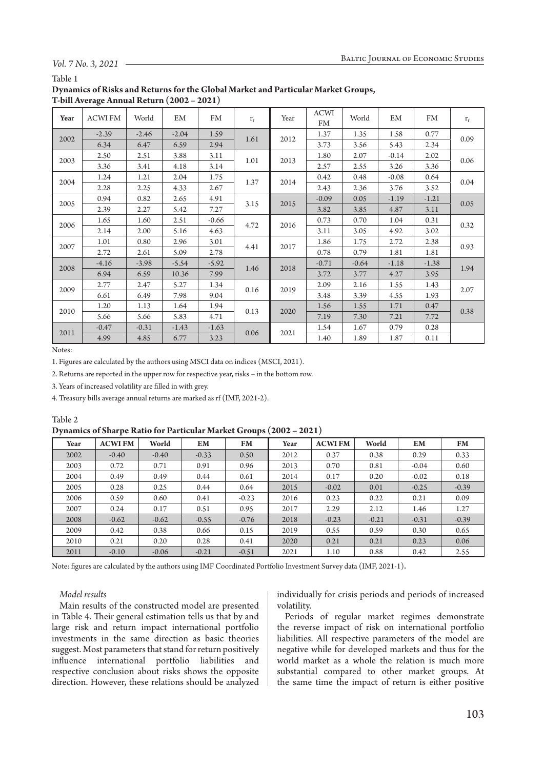## *Vol. 7 No. 3, 2021*

#### Table 1

| Dynamics of Risks and Returns for the Global Market and Particular Market Groups, |
|-----------------------------------------------------------------------------------|
| T-bill Average Annual Return (2002 – 2021)                                        |

| Year | <b>ACWI FM</b> | World   | EM      | FM      | $r_f$ | Year | <b>ACWI</b><br>FM | World   | EM      | FM      | $r_f$   |      |
|------|----------------|---------|---------|---------|-------|------|-------------------|---------|---------|---------|---------|------|
| 2002 | $-2.39$        | $-2.46$ | $-2.04$ | 1.59    | 1.61  | 2012 | 1.37              | 1.35    | 1.58    | 0.77    | 0.09    |      |
|      | 6.34           | 6.47    | 6.59    | 2.94    |       |      | 3.73              | 3.56    | 5.43    | 2.34    |         |      |
|      | 2.50           | 2.51    | 3.88    | 3.11    | 1.01  | 2013 | 1.80              | 2.07    | $-0.14$ | 2.02    | 0.06    |      |
| 2003 | 3.36           | 3.41    | 4.18    | 3.14    |       |      | 2.57              | 2.55    | 3.26    | 3.36    |         |      |
|      | 1.24           | 1.21    | 2.04    | 1.75    |       | 2014 | 0.42              | 0.48    | $-0.08$ | 0.64    | 0.04    |      |
| 2004 | 2.28           | 2.25    | 4.33    | 2.67    | 1.37  |      | 2.43              | 2.36    | 3.76    | 3.52    |         |      |
|      | 0.94           | 0.82    | 2.65    | 4.91    | 3.15  |      | $-0.09$           | 0.05    | $-1.19$ | $-1.21$ | 0.05    |      |
| 2005 | 2.39           | 2.27    | 5.42    | 7.27    |       | 2015 | 3.82              | 3.85    | 4.87    | 3.11    |         |      |
| 2006 | 1.65           | 1.60    | 2.51    | $-0.66$ | 4.72  |      | 0.73              | 0.70    | 1.04    | 0.31    | 0.32    |      |
|      | 2.14           | 2.00    | 5.16    | 4.63    |       |      |                   | 2016    | 3.11    | 3.05    | 4.92    | 3.02 |
| 2007 | 1.01           | 0.80    | 2.96    | 3.01    | 4.41  | 2017 | 1.86              | 1.75    | 2.72    | 2.38    |         |      |
|      | 2.72           | 2.61    | 5.09    | 2.78    |       |      |                   | 0.78    | 0.79    | 1.81    | 1.81    | 0.93 |
|      | $-4.16$        | $-3.98$ | $-5.54$ | $-5.92$ | 1.46  |      | 2018              | $-0.71$ | $-0.64$ | $-1.18$ | $-1.38$ | 1.94 |
| 2008 | 6.94           | 6.59    | 10.36   | 7.99    |       |      |                   | 3.72    | 3.77    | 4.27    | 3.95    |      |
|      | 2.77           | 2.47    | 5.27    | 1.34    | 0.16  | 2019 |                   | 2.09    | 2.16    | 1.55    | 1.43    | 2.07 |
| 2009 | 6.61           | 6.49    | 7.98    | 9.04    |       |      |                   | 3.48    | 3.39    | 4.55    | 1.93    |      |
|      | 1.20           | 1.13    | 1.64    | 1.94    | 0.13  |      |                   | 1.56    | 1.55    | 1.71    | 0.47    |      |
| 2010 | 5.66           | 5.66    | 5.83    | 4.71    |       | 2020 | 7.19              | 7.30    | 7.21    | 7.72    | 0.38    |      |
|      | $-0.47$        | $-0.31$ | $-1.43$ | $-1.63$ |       |      | 1.54              | 1.67    | 0.79    | 0.28    |         |      |
| 2011 | 4.99           | 4.85    | 6.77    | 3.23    | 0.06  | 2021 | 1.40              | 1.89    | 1.87    | 0.11    |         |      |

Notes:

Table 2

1. Figures are calculated by the authors using MSCI data on indices (MSCI, 2021).

2. Returns are reported in the upper row for respective year, risks – in the bottom row.

3. Years of increased volatility are filled in with grey.

4. Treasury bills average annual returns are marked as rf (IMF, 2021-2).

| Dynamics of Sharpe Ratio for Particular Market Groups (2002 – 2021) |                |         |         |           |      |                |         |         |           |  |
|---------------------------------------------------------------------|----------------|---------|---------|-----------|------|----------------|---------|---------|-----------|--|
| Year                                                                | <b>ACWI FM</b> | World   | EM      | <b>FM</b> | Year | <b>ACWI FM</b> | World   | EM      | <b>FM</b> |  |
| 2002                                                                | $-0.40$        | $-0.40$ | $-0.33$ | 0.50      | 2012 | 0.37           | 0.38    | 0.29    | 0.33      |  |
| 2003                                                                | 0.72           | 0.71    | 0.91    | 0.96      | 2013 | 0.70           | 0.81    | $-0.04$ | 0.60      |  |
| 2004                                                                | 0.49           | 0.49    | 0.44    | 0.61      | 2014 | 0.17           | 0.20    | $-0.02$ | 0.18      |  |
| 2005                                                                | 0.28           | 0.25    | 0.44    | 0.64      | 2015 | $-0.02$        | 0.01    | $-0.25$ | $-0.39$   |  |
| 2006                                                                | 0.59           | 0.60    | 0.41    | $-0.23$   | 2016 | 0.23           | 0.22    | 0.21    | 0.09      |  |
| 2007                                                                | 0.24           | 0.17    | 0.51    | 0.95      | 2017 | 2.29           | 2.12    | 1.46    | 1.27      |  |
| 2008                                                                | $-0.62$        | $-0.62$ | $-0.55$ | $-0.76$   | 2018 | $-0.23$        | $-0.21$ | $-0.31$ | $-0.39$   |  |
| 2009                                                                | 0.42           | 0.38    | 0.66    | 0.15      | 2019 | 0.55           | 0.59    | 0.30    | 0.65      |  |
| 2010                                                                | 0.21           | 0.20    | 0.28    | 0.41      | 2020 | 0.21           | 0.21    | 0.23    | 0.06      |  |
| 2011                                                                | $-0.10$        | $-0.06$ | $-0.21$ | $-0.51$   | 2021 | 1.10           | 0.88    | 0.42    | 2.55      |  |

Note: figures are calculated by the authors using IMF Coordinated Portfolio Investment Survey data (IMF, 2021-1).

## *Model results*

Main results of the constructed model are presented in Table 4. Their general estimation tells us that by and large risk and return impact international portfolio investments in the same direction as basic theories suggest. Most parameters that stand for return positively influence international portfolio liabilities and respective conclusion about risks shows the opposite direction. However, these relations should be analyzed individually for crisis periods and periods of increased volatility.

Periods of regular market regimes demonstrate the reverse impact of risk on international portfolio liabilities. All respective parameters of the model are negative while for developed markets and thus for the world market as a whole the relation is much more substantial compared to other market groups. At the same time the impact of return is either positive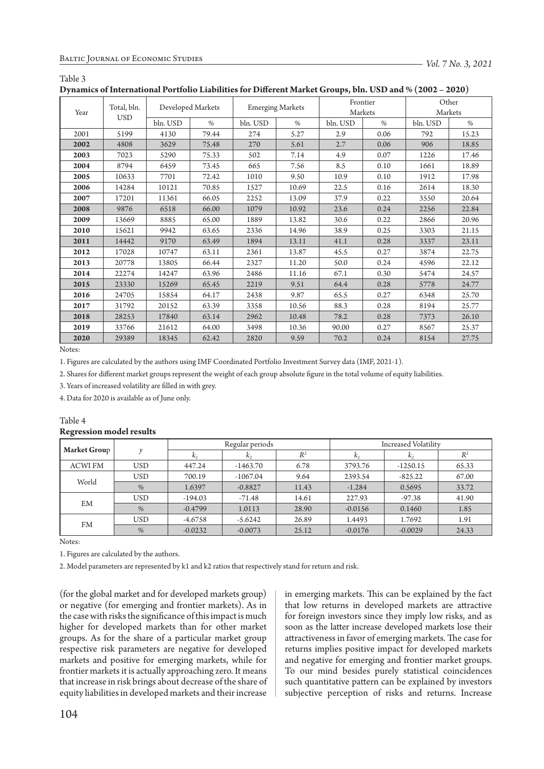| D furnites of micrimitonal rottiono Daomentes for Dincrem Market Groups) only COD and 70 (2002) |                           |                   |       |                         |       |                     |      |                  |       |  |
|-------------------------------------------------------------------------------------------------|---------------------------|-------------------|-------|-------------------------|-------|---------------------|------|------------------|-------|--|
| Year                                                                                            | Total, bln.<br><b>USD</b> | Developed Markets |       | <b>Emerging Markets</b> |       | Frontier<br>Markets |      | Other<br>Markets |       |  |
|                                                                                                 |                           | bln. USD          | $\%$  | bln. USD                | $\%$  | bln. USD            | $\%$ | bln. USD         | $\%$  |  |
| 2001                                                                                            | 5199                      | 4130              | 79.44 | 274                     | 5.27  | 2.9                 | 0.06 | 792              | 15.23 |  |
| 2002                                                                                            | 4808                      | 3629              | 75.48 | 270                     | 5.61  | 2.7                 | 0.06 | 906              | 18.85 |  |
| 2003                                                                                            | 7023                      | 5290              | 75.33 | 502                     | 7.14  | 4.9                 | 0.07 | 1226             | 17.46 |  |
| 2004                                                                                            | 8794                      | 6459              | 73.45 | 665                     | 7.56  | 8.5                 | 0.10 | 1661             | 18.89 |  |
| 2005                                                                                            | 10633                     | 7701              | 72.42 | 1010                    | 9.50  | 10.9                | 0.10 | 1912             | 17.98 |  |
| 2006                                                                                            | 14284                     | 10121             | 70.85 | 1527                    | 10.69 | 22.5                | 0.16 | 2614             | 18.30 |  |
| 2007                                                                                            | 17201                     | 11361             | 66.05 | 2252                    | 13.09 | 37.9                | 0.22 | 3550             | 20.64 |  |
| 2008                                                                                            | 9876                      | 6518              | 66.00 | 1079                    | 10.92 | 23.6                | 0.24 | 2256             | 22.84 |  |
| 2009                                                                                            | 13669                     | 8885              | 65.00 | 1889                    | 13.82 | 30.6                | 0.22 | 2866             | 20.96 |  |
| 2010                                                                                            | 15621                     | 9942              | 63.65 | 2336                    | 14.96 | 38.9                | 0.25 | 3303             | 21.15 |  |
| 2011                                                                                            | 14442                     | 9170              | 63.49 | 1894                    | 13.11 | 41.1                | 0.28 | 3337             | 23.11 |  |
| 2012                                                                                            | 17028                     | 10747             | 63.11 | 2361                    | 13.87 | 45.5                | 0.27 | 3874             | 22.75 |  |
| 2013                                                                                            | 20778                     | 13805             | 66.44 | 2327                    | 11.20 | 50.0                | 0.24 | 4596             | 22.12 |  |
| 2014                                                                                            | 22274                     | 14247             | 63.96 | 2486                    | 11.16 | 67.1                | 0.30 | 5474             | 24.57 |  |
| 2015                                                                                            | 23330                     | 15269             | 65.45 | 2219                    | 9.51  | 64.4                | 0.28 | 5778             | 24.77 |  |
| 2016                                                                                            | 24705                     | 15854             | 64.17 | 2438                    | 9.87  | 65.5                | 0.27 | 6348             | 25.70 |  |
| 2017                                                                                            | 31792                     | 20152             | 63.39 | 3358                    | 10.56 | 88.3                | 0.28 | 8194             | 25.77 |  |
| 2018                                                                                            | 28253                     | 17840             | 63.14 | 2962                    | 10.48 | 78.2                | 0.28 | 7373             | 26.10 |  |
| 2019                                                                                            | 33766                     | 21612             | 64.00 | 3498                    | 10.36 | 90.00               | 0.27 | 8567             | 25.37 |  |
| 2020                                                                                            | 29389                     | 18345             | 62.42 | 2820                    | 9.59  | 70.2                | 0.24 | 8154             | 27.75 |  |

**Dynamics of International Portfolio Liabilities for Different Market Groups, bln. USD and % (2002 – 2020)**

Notes:

Table 3

1. Figures are calculated by the authors using IMF Coordinated Portfolio Investment Survey data (IMF, 2021-1).

2. Shares for different market groups represent the weight of each group absolute figure in the total volume of equity liabilities.

3. Years of increased volatility are filled in with grey.

4. Data for 2020 is available as of June only.

#### Table 4 **Regression model results**

|                     |                    |           | Regular periods |       | <b>Increased Volatility</b> |                |       |  |
|---------------------|--------------------|-----------|-----------------|-------|-----------------------------|----------------|-------|--|
| <b>Market Group</b> | $\boldsymbol{\nu}$ | $k_1$     | $k_{2}$         | $R^2$ | k <sub>1</sub>              | k <sub>2</sub> | $R^2$ |  |
| <b>ACWI FM</b>      | <b>USD</b>         | 447.24    | $-1463.70$      | 6.78  | 3793.76                     | $-1250.15$     | 65.33 |  |
| World               | <b>USD</b>         | 700.19    | $-1067.04$      | 9.64  | 2393.54                     | $-825.22$      | 67.00 |  |
|                     | %                  | 1.6397    | $-0.8827$       | 11.43 | $-1.284$                    | 0.5695         | 33.72 |  |
| EM                  | <b>USD</b>         | $-194.03$ | $-71.48$        | 14.61 | 227.93                      | $-97.38$       | 41.90 |  |
|                     | %                  | $-0.4799$ | 1.0113          | 28.90 | $-0.0156$                   | 0.1460         | 1.85  |  |
| <b>FM</b>           | <b>USD</b>         | $-4.6758$ | $-5.6242$       | 26.89 | 1.4493                      | 1.7692         | 1.91  |  |
|                     | %                  | $-0.0232$ | $-0.0073$       | 25.12 | $-0.0176$                   | $-0.0029$      | 24.33 |  |

Notes:

1. Figures are calculated by the authors.

2. Model parameters are represented by k1 and k2 ratios that respectively stand for return and risk.

(for the global market and for developed markets group) or negative (for emerging and frontier markets). As in the case with risks the significance of this impact is much higher for developed markets than for other market groups. As for the share of a particular market group respective risk parameters are negative for developed markets and positive for emerging markets, while for frontier markets it is actually approaching zero. It means that increase in risk brings about decrease of the share of equity liabilities in developed markets and their increase

in emerging markets. This can be explained by the fact that low returns in developed markets are attractive for foreign investors since they imply low risks, and as soon as the latter increase developed markets lose their attractiveness in favor of emerging markets. The case for returns implies positive impact for developed markets and negative for emerging and frontier market groups. To our mind besides purely statistical coincidences such quantitative pattern can be explained by investors subjective perception of risks and returns. Increase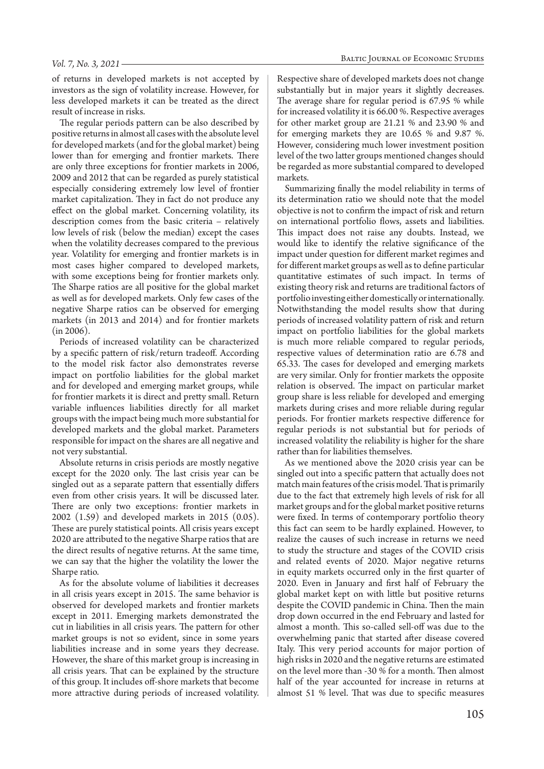#### *Vol. 7, No. 3, 2021*

of returns in developed markets is not accepted by investors as the sign of volatility increase. However, for less developed markets it can be treated as the direct result of increase in risks.

The regular periods pattern can be also described by positive returns in almost all cases with the absolute level for developed markets (and for the global market) being lower than for emerging and frontier markets. There are only three exceptions for frontier markets in 2006, 2009 and 2012 that can be regarded as purely statistical especially considering extremely low level of frontier market capitalization. They in fact do not produce any effect on the global market. Concerning volatility, its description comes from the basic criteria – relatively low levels of risk (below the median) except the cases when the volatility decreases compared to the previous year. Volatility for emerging and frontier markets is in most cases higher compared to developed markets, with some exceptions being for frontier markets only. The Sharpe ratios are all positive for the global market as well as for developed markets. Only few cases of the negative Sharpe ratios can be observed for emerging markets (in 2013 and 2014) and for frontier markets (in 2006).

Periods of increased volatility can be characterized by a specific pattern of risk/return tradeoff. According to the model risk factor also demonstrates reverse impact on portfolio liabilities for the global market and for developed and emerging market groups, while for frontier markets it is direct and pretty small. Return variable influences liabilities directly for all market groups with the impact being much more substantial for developed markets and the global market. Parameters responsible for impact on the shares are all negative and not very substantial.

Absolute returns in crisis periods are mostly negative except for the 2020 only. The last crisis year can be singled out as a separate pattern that essentially differs even from other crisis years. It will be discussed later. There are only two exceptions: frontier markets in 2002 (1.59) and developed markets in 2015 (0.05). These are purely statistical points. All crisis years except 2020 are attributed to the negative Sharpe ratios that are the direct results of negative returns. At the same time, we can say that the higher the volatility the lower the Sharpe ratio.

As for the absolute volume of liabilities it decreases in all crisis years except in 2015. The same behavior is observed for developed markets and frontier markets except in 2011. Emerging markets demonstrated the cut in liabilities in all crisis years. The pattern for other market groups is not so evident, since in some years liabilities increase and in some years they decrease. However, the share of this market group is increasing in all crisis years. That can be explained by the structure of this group. It includes off-shore markets that become more attractive during periods of increased volatility.

Respective share of developed markets does not change substantially but in major years it slightly decreases. The average share for regular period is 67.95 % while for increased volatility it is 66.00 %. Respective averages for other market group are 21.21 % and 23.90 % and for emerging markets they are 10.65 % and 9.87 %. However, considering much lower investment position level of the two latter groups mentioned changes should be regarded as more substantial compared to developed markets.

Summarizing finally the model reliability in terms of its determination ratio we should note that the model objective is not to confirm the impact of risk and return on international portfolio flows, assets and liabilities. This impact does not raise any doubts. Instead, we would like to identify the relative significance of the impact under question for different market regimes and for different market groups as well as to define particular quantitative estimates of such impact. In terms of existing theory risk and returns are traditional factors of portfolio investing either domestically or internationally. Notwithstanding the model results show that during periods of increased volatility pattern of risk and return impact on portfolio liabilities for the global markets is much more reliable compared to regular periods, respective values of determination ratio are 6.78 and 65.33. The cases for developed and emerging markets are very similar. Only for frontier markets the opposite relation is observed. The impact on particular market group share is less reliable for developed and emerging markets during crises and more reliable during regular periods. For frontier markets respective difference for regular periods is not substantial but for periods of increased volatility the reliability is higher for the share rather than for liabilities themselves.

As we mentioned above the 2020 crisis year can be singled out into a specific pattern that actually does not match main features of the crisis model. That is primarily due to the fact that extremely high levels of risk for all market groups and for the global market positive returns were fixed. In terms of contemporary portfolio theory this fact can seem to be hardly explained. However, to realize the causes of such increase in returns we need to study the structure and stages of the COVID crisis and related events of 2020. Major negative returns in equity markets occurred only in the first quarter of 2020. Even in January and first half of February the global market kept on with little but positive returns despite the COVID pandemic in China. Then the main drop down occurred in the end February and lasted for almost a month. This so-called sell-off was due to the overwhelming panic that started after disease covered Italy. This very period accounts for major portion of high risks in 2020 and the negative returns are estimated on the level more than -30 % for a month. Then almost half of the year accounted for increase in returns at almost 51 % level. That was due to specific measures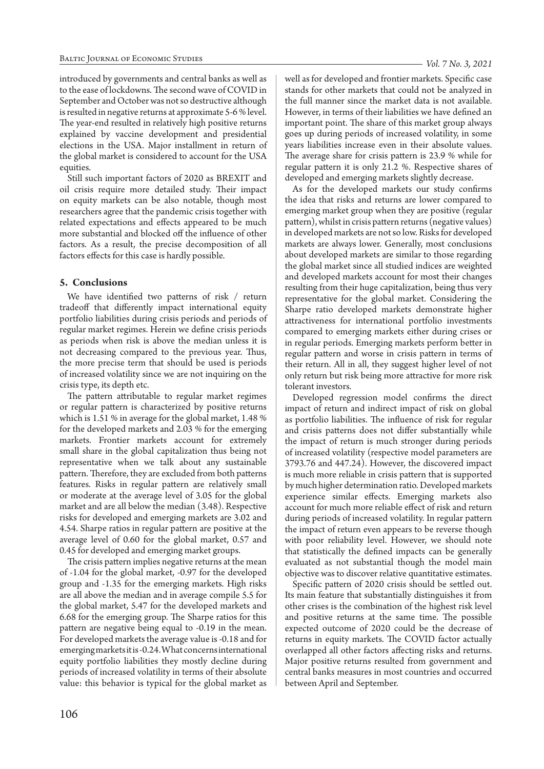introduced by governments and central banks as well as to the ease of lockdowns. The second wave of COVID in September and October was not so destructive although is resulted in negative returns at approximate 5-6 % level. The year-end resulted in relatively high positive returns explained by vaccine development and presidential elections in the USA. Major installment in return of the global market is considered to account for the USA equities.

Still such important factors of 2020 as BREXIT and oil crisis require more detailed study. Their impact on equity markets can be also notable, though most researchers agree that the pandemic crisis together with related expectations and effects appeared to be much more substantial and blocked off the influence of other factors. As a result, the precise decomposition of all factors effects for this case is hardly possible.

## **5. Conclusions**

We have identified two patterns of risk / return tradeoff that differently impact international equity portfolio liabilities during crisis periods and periods of regular market regimes. Herein we define crisis periods as periods when risk is above the median unless it is not decreasing compared to the previous year. Thus, the more precise term that should be used is periods of increased volatility since we are not inquiring on the crisis type, its depth etc.

The pattern attributable to regular market regimes or regular pattern is characterized by positive returns which is 1.51 % in average for the global market, 1.48 % for the developed markets and 2.03 % for the emerging markets. Frontier markets account for extremely small share in the global capitalization thus being not representative when we talk about any sustainable pattern. Therefore, they are excluded from both patterns features. Risks in regular pattern are relatively small or moderate at the average level of 3.05 for the global market and are all below the median (3.48). Respective risks for developed and emerging markets are 3.02 and 4.54. Sharpe ratios in regular pattern are positive at the average level of 0.60 for the global market, 0.57 and 0.45 for developed and emerging market groups.

The crisis pattern implies negative returns at the mean of -1.04 for the global market, -0.97 for the developed group and -1.35 for the emerging markets. High risks are all above the median and in average compile 5.5 for the global market, 5.47 for the developed markets and 6.68 for the emerging group. The Sharpe ratios for this pattern are negative being equal to -0.19 in the mean. For developed markets the average value is -0.18 and for emerging markets it is -0.24. What concerns international equity portfolio liabilities they mostly decline during periods of increased volatility in terms of their absolute value: this behavior is typical for the global market as

well as for developed and frontier markets. Specific case stands for other markets that could not be analyzed in the full manner since the market data is not available. However, in terms of their liabilities we have defined an important point. The share of this market group always goes up during periods of increased volatility, in some years liabilities increase even in their absolute values. The average share for crisis pattern is 23.9 % while for regular pattern it is only 21.2 %. Respective shares of developed and emerging markets slightly decrease.

As for the developed markets our study confirms the idea that risks and returns are lower compared to emerging market group when they are positive (regular pattern), whilst in crisis pattern returns (negative values) in developed markets are not so low. Risks for developed markets are always lower. Generally, most conclusions about developed markets are similar to those regarding the global market since all studied indices are weighted and developed markets account for most their changes resulting from their huge capitalization, being thus very representative for the global market. Considering the Sharpe ratio developed markets demonstrate higher attractiveness for international portfolio investments compared to emerging markets either during crises or in regular periods. Emerging markets perform better in regular pattern and worse in crisis pattern in terms of their return. All in all, they suggest higher level of not only return but risk being more attractive for more risk tolerant investors.

Developed regression model confirms the direct impact of return and indirect impact of risk on global as portfolio liabilities. The influence of risk for regular and crisis patterns does not differ substantially while the impact of return is much stronger during periods of increased volatility (respective model parameters are 3793.76 and 447.24). However, the discovered impact is much more reliable in crisis pattern that is supported by much higher determination ratio. Developed markets experience similar effects. Emerging markets also account for much more reliable effect of risk and return during periods of increased volatility. In regular pattern the impact of return even appears to be reverse though with poor reliability level. However, we should note that statistically the defined impacts can be generally evaluated as not substantial though the model main objective was to discover relative quantitative estimates.

Specific pattern of 2020 crisis should be settled out. Its main feature that substantially distinguishes it from other crises is the combination of the highest risk level and positive returns at the same time. The possible expected outcome of 2020 could be the decrease of returns in equity markets. The COVID factor actually overlapped all other factors affecting risks and returns. Major positive returns resulted from government and central banks measures in most countries and occurred between April and September.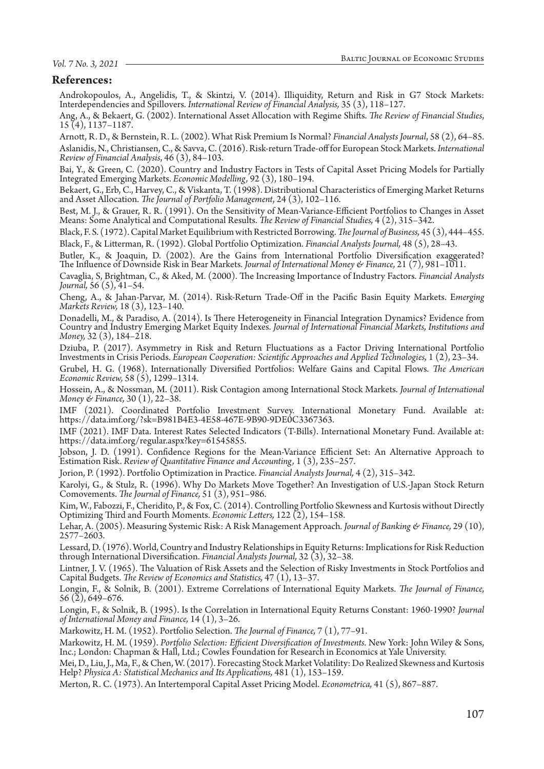## *Vol. 7 No. 3, 2021*

# **References:**

Androkopoulos, A., Angelidis, T., & Skintzi, V. (2014). Illiquidity, Return and Risk in G7 Stock Markets: Interdependencies and Spillovers. *International Review of Financial Analysis,* 35 (3), 118–127.

Ang, A., & Bekaert, G. (2002). International Asset Allocation with Regime Shifts. *The Review of Financial Studies*, 15 (4), 1137–1187.

Arnott, R. D., & Bernstein, R. L. (2002). What Risk Premium Is Normal? *Financial Analysts Journal*, 58 (2), 64–85. Aslanidis, N., Christiansen, C., & Savva, C. (2016). Risk-return Trade-off for European Stock Markets. *International Review of Financial Analysis*, 46 (3), 84–103.

Bai, Y., & Green, C. (2020). Country and Industry Factors in Tests of Capital Asset Pricing Models for Partially Integrated Emerging Markets. *Economic Modelling,* 92 (3), 180–194.

Bekaert, G., Erb, C., Harvey, C., & Viskanta, T. (1998). Distributional Characteristics of Emerging Market Returns and Asset Allocation. *The Journal of Portfolio Management*, 24 (3), 102–116.

Best, M. J., & Grauer, R. R. (1991). On the Sensitivity of Mean-Variance-Efficient Portfolios to Changes in Asset Means: Some Analytical and Computational Results. *The Review of Financial Studies,* 4 (2), 315–342.

Black, F. S. (1972). Capital Market Equilibrium with Restricted Borrowing. *The Journal of Business,* 45 (3), 444–455. Black, F., & Litterman, R. (1992). Global Portfolio Optimization. *Financial Analysts Journal,* 48 (5), 28–43.

Butler, K., & Joaquin, D. (2002). Are the Gains from International Portfolio Diversification exaggerated? The Influence of Downside Risk in Bear Markets. *Journal of International Money & Finance,* 21 (7), 981–1011.

Cavaglia, S, Brightman, C., & Aked, M. (2000). The Increasing Importance of Industry Factors. *Financial Analysts Journal,* 56 (5), 41–54.

Cheng, A., & Jahan-Parvar, M. (2014). Risk-Return Trade-Off in the Pacific Basin Equity Markets. E*merging Markets Review,* 18 (3), 123–140.

Donadelli, M., & Paradiso, A. (2014). Is There Heterogeneity in Financial Integration Dynamics? Evidence from Country and Industry Emerging Market Equity Indexes. *Journal of International Financial Markets, Institutions and Money,* 32 (3), 184–218.

Dziuba, P. (2017). Asymmetry in Risk and Return Fluctuations as a Factor Driving International Portfolio Investments in Crisis Periods. *European Cooperation: Scientific Approaches and Applied Technologies,* 1 (2), 23–34.

Grubel, H. G. (1968). Internationally Diversified Portfolios: Welfare Gains and Capital Flows. *The American Economic Review,* 58 (5), 1299–1314.

Hossein, A., & Nossman, M. (2011). Risk Contagion among International Stock Markets. *Journal of International Money & Finance,* 30 (1), 22–38.

IMF (2021). Coordinated Portfolio Investment Survey. International Monetary Fund. Available at: https://data.imf.org/?sk=B981B4E3-4E58-467E-9B90-9DE0C3367363.

IMF (2021). IMF Data. Interest Rates Selected Indicators (T-Bills). International Monetary Fund. Available at: https://data.imf.org/regular.aspx?key=61545855.

Jobson, J. D. (1991). Confidence Regions for the Mean-Variance Efficient Set: An Alternative Approach to Estimation Risk. *Review of Quantitative Finance and Accounting,* 1 (3), 235–257.

Jorion, P. (1992). Portfolio Optimization in Practice. *Financial Analysts Journal,* 4 (2), 315–342.

Karolyi, G., & Stulz, R. (1996). Why Do Markets Move Together? An Investigation of U.S.-Japan Stock Return Comovements. *The Journal of Finance,* 51 (3), 951–986.

Kim, W., Fabozzi, F., Cheridito, P., & Fox, C. (2014). Controlling Portfolio Skewness and Kurtosis without Directly Optimizing Third and Fourth Moments. *Economic Letters,* 122 (2), 154–158.

Lehar, A. (2005). Measuring Systemic Risk: A Risk Management Approach*. Journal of Banking & Finance,* 29 (10),  $2577 - 2603$ .

Lessard, D. (1976). World, Country and Industry Relationships in Equity Returns: Implications for Risk Reduction through International Diversification. *Financial Analysts Journal,* 32 (3), 32–38.

Lintner, J. V. (1965). The Valuation of Risk Assets and the Selection of Risky Investments in Stock Portfolios and Capital Budgets. *The Review of Economics and Statistics,* 47 (1), 13–37.

Longin, F., & Solnik, B. (2001). Extreme Correlations of International Equity Markets. *The Journal of Finance,* 56 (2), 649–676.

Longin, F., & Solnik, B. (1995). Is the Correlation in International Equity Returns Constant: 1960-1990? *Journal of International Money and Finance,* 14 (1), 3–26.

Markowitz, H. M. (1952). Portfolio Selection. *The Journal of Finance,* 7 (1), 77–91.

Markowitz, H. M. (1959). *Portfolio Selection: Efficient Diversification of Investments.* New York: John Wiley & Sons, Inc.; London: Chapman & Hall, Ltd.; Cowles Foundation for Research in Economics at Yale University.

Mei, D., Liu, J., Ma, F., & Chen, W. (2017). Forecasting Stock Market Volatility: Do Realized Skewness and Kurtosis Help? *Physica A: Statistical Mechanics and Its Applications,* 481 (1), 153–159.

Merton, R. C. (1973). An Intertemporal Capital Asset Pricing Model. *Econometrica,* 41 (5), 867–887.